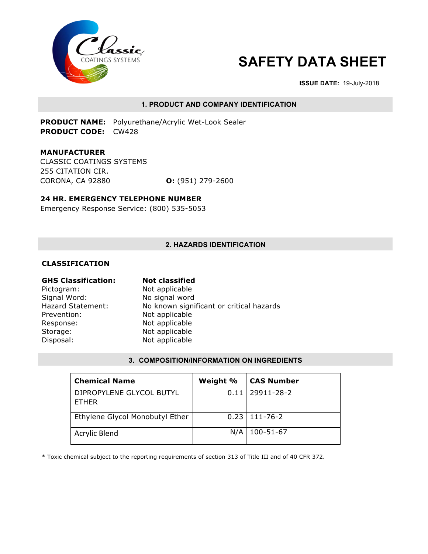

# **SAFETY DATA SHEET**

**ISSUE DATE:** 19-July-2018

### **1. PRODUCT AND COMPANY IDENTIFICATION**

**PRODUCT NAME:** Polyurethane/Acrylic Wet-Look Sealer **PRODUCT CODE:** CW428

**MANUFACTURER**  CLASSIC COATINGS SYSTEMS 255 CITATION CIR. CORONA, CA 92880 **O:** (951) 279-2600

### **24 HR. EMERGENCY TELEPHONE NUMBER**

Emergency Response Service: (800) 535-5053

### **2. HAZARDS IDENTIFICATION**

### **CLASSIFICATION**

| <b>Not classified</b>                    |
|------------------------------------------|
| Not applicable                           |
| No signal word                           |
| No known significant or critical hazards |
| Not applicable                           |
| Not applicable                           |
| Not applicable                           |
| Not applicable                           |
|                                          |

### **3. COMPOSITION/INFORMATION ON INGREDIENTS**

| <b>Chemical Name</b>                     | Weight % | <b>CAS Number</b>   |
|------------------------------------------|----------|---------------------|
| DIPROPYLENE GLYCOL BUTYL<br><b>FTHER</b> |          | $0.11$   29911-28-2 |
| Ethylene Glycol Monobutyl Ether          |          | $0.23$   111-76-2   |
| <b>Acrylic Blend</b>                     | N/A      | 100-51-67           |

\* Toxic chemical subject to the reporting requirements of section 313 of Title III and of 40 CFR 372.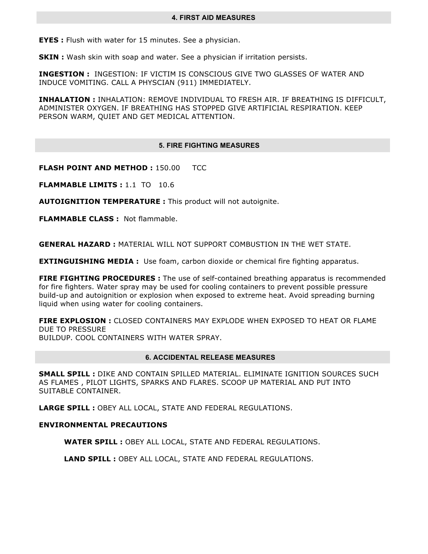**EYES :** Flush with water for 15 minutes. See a physician.

**SKIN :** Wash skin with soap and water. See a physician if irritation persists.

**INGESTION :** INGESTION: IF VICTIM IS CONSCIOUS GIVE TWO GLASSES OF WATER AND INDUCE VOMITING. CALL A PHYSCIAN (911) IMMEDIATELY.

**INHALATION :** INHALATION: REMOVE INDIVIDUAL TO FRESH AIR. IF BREATHING IS DIFFICULT, ADMINISTER OXYGEN. IF BREATHING HAS STOPPED GIVE ARTIFICIAL RESPIRATION. KEEP PERSON WARM, QUIET AND GET MEDICAL ATTENTION.

### **5. FIRE FIGHTING MEASURES**

**FLASH POINT AND METHOD : 150.00 TCC** 

**FLAMMABLE LIMITS :** 1.1 TO 10.6

**AUTOIGNITION TEMPERATURE :** This product will not autoignite.

**FLAMMABLE CLASS : Not flammable.** 

**GENERAL HAZARD :** MATERIAL WILL NOT SUPPORT COMBUSTION IN THE WET STATE.

**EXTINGUISHING MEDIA :** Use foam, carbon dioxide or chemical fire fighting apparatus.

**FIRE FIGHTING PROCEDURES**: The use of self-contained breathing apparatus is recommended for fire fighters. Water spray may be used for cooling containers to prevent possible pressure build-up and autoignition or explosion when exposed to extreme heat. Avoid spreading burning liquid when using water for cooling containers.

**FIRE EXPLOSION :** CLOSED CONTAINERS MAY EXPLODE WHEN EXPOSED TO HEAT OR FLAME DUE TO PRESSURE

BUILDUP. COOL CONTAINERS WITH WATER SPRAY.

### **6. ACCIDENTAL RELEASE MEASURES**

**SMALL SPILL :** DIKE AND CONTAIN SPILLED MATERIAL. ELIMINATE IGNITION SOURCES SUCH AS FLAMES , PILOT LIGHTS, SPARKS AND FLARES. SCOOP UP MATERIAL AND PUT INTO SUITABLE CONTAINER.

**LARGE SPILL :** OBEY ALL LOCAL, STATE AND FEDERAL REGULATIONS.

### **ENVIRONMENTAL PRECAUTIONS**

**WATER SPILL :** OBEY ALL LOCAL, STATE AND FEDERAL REGULATIONS.

**LAND SPILL :** OBEY ALL LOCAL, STATE AND FEDERAL REGULATIONS.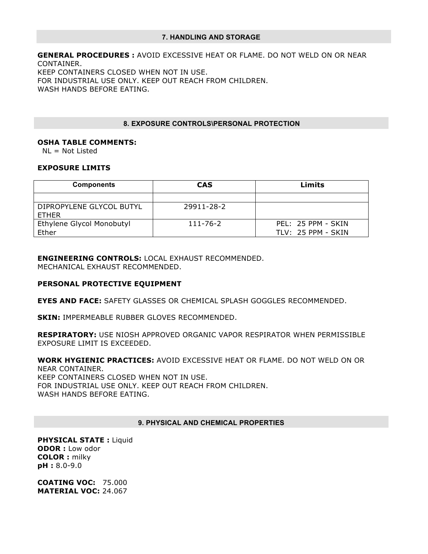### **7. HANDLING AND STORAGE**

**GENERAL PROCEDURES :** AVOID EXCESSIVE HEAT OR FLAME. DO NOT WELD ON OR NEAR CONTAINER. KEEP CONTAINERS CLOSED WHEN NOT IN USE. FOR INDUSTRIAL USE ONLY. KEEP OUT REACH FROM CHILDREN. WASH HANDS BEFORE EATING.

### **8. EXPOSURE CONTROLS\PERSONAL PROTECTION**

### **OSHA TABLE COMMENTS:**

NL = Not Listed

### **EXPOSURE LIMITS**

| <b>Components</b>                        | <b>CAS</b> | Limits               |
|------------------------------------------|------------|----------------------|
|                                          |            |                      |
| DIPROPYLENE GLYCOL BUTYL<br><b>FTHER</b> | 29911-28-2 |                      |
| Ethylene Glycol Monobutyl                | 111-76-2   | PEL: 25 PPM - SKIN   |
| Ether                                    |            | $TLV: 25$ PPM - SKIN |

## **ENGINEERING CONTROLS:** LOCAL EXHAUST RECOMMENDED.

MECHANICAL EXHAUST RECOMMENDED.

### **PERSONAL PROTECTIVE EQUIPMENT**

**EYES AND FACE:** SAFETY GLASSES OR CHEMICAL SPLASH GOGGLES RECOMMENDED.

**SKIN:** IMPERMEABLE RUBBER GLOVES RECOMMENDED.

**RESPIRATORY:** USE NIOSH APPROVED ORGANIC VAPOR RESPIRATOR WHEN PERMISSIBLE EXPOSURE LIMIT IS EXCEEDED.

**WORK HYGIENIC PRACTICES:** AVOID EXCESSIVE HEAT OR FLAME. DO NOT WELD ON OR NEAR CONTAINER.

KEEP CONTAINERS CLOSED WHEN NOT IN USE. FOR INDUSTRIAL USE ONLY. KEEP OUT REACH FROM CHILDREN. WASH HANDS BEFORE EATING.

### **9. PHYSICAL AND CHEMICAL PROPERTIES**

**PHYSICAL STATE :** Liquid **ODOR :** Low odor **COLOR :** milky **pH :** 8.0-9.0

**COATING VOC:** 75.000 **MATERIAL VOC:** 24.067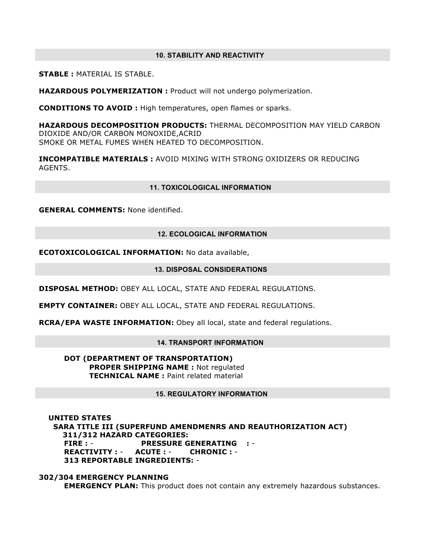### **10. STABILITY AND REACTIVITY**

**STABLE :** MATERIAL IS STABLE.

**HAZARDOUS POLYMERIZATION :** Product will not undergo polymerization.

**CONDITIONS TO AVOID :** High temperatures, open flames or sparks.

**HAZARDOUS DECOMPOSITION PRODUCTS:** THERMAL DECOMPOSITION MAY YIELD CARBON DIOXIDE AND/OR CARBON MONOXIDE,ACRID SMOKE OR METAL FUMES WHEN HEATED TO DECOMPOSITION.

**INCOMPATIBLE MATERIALS :** AVOID MIXING WITH STRONG OXIDIZERS OR REDUCING AGENTS.

### **11. TOXICOLOGICAL INFORMATION**

**GENERAL COMMENTS:** None identified.

### **12. ECOLOGICAL INFORMATION**

**ECOTOXICOLOGICAL INFORMATION:** No data available,

### **13. DISPOSAL CONSIDERATIONS**

**DISPOSAL METHOD:** OBEY ALL LOCAL, STATE AND FEDERAL REGULATIONS.

**EMPTY CONTAINER:** OBEY ALL LOCAL, STATE AND FEDERAL REGULATIONS.

**RCRA/EPA WASTE INFORMATION:** Obey all local, state and federal regulations.

### **14. TRANSPORT INFORMATION**

**DOT (DEPARTMENT OF TRANSPORTATION) PROPER SHIPPING NAME :** Not regulated **TECHNICAL NAME: Paint related material** 

### **15. REGULATORY INFORMATION**

 **UNITED STATES SARA TITLE III (SUPERFUND AMENDMENRS AND REAUTHORIZATION ACT) 311/312 HAZARD CATEGORIES: FIRE :** - **PRESSURE GENERATING :** - **REACTIVITY :** - **ACUTE :** - **CHRONIC :** - **313 REPORTABLE INGREDIENTS:** -

**302/304 EMERGENCY PLANNING EMERGENCY PLAN:** This product does not contain any extremely hazardous substances.